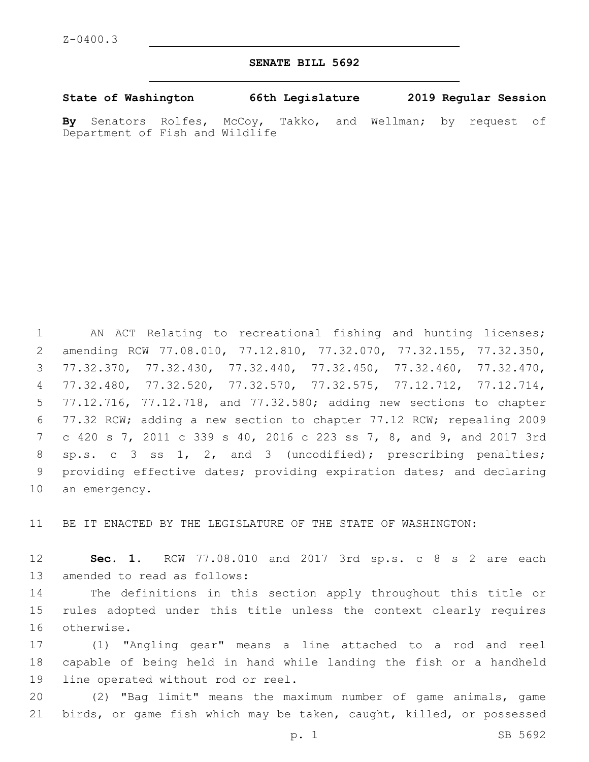## **SENATE BILL 5692**

**State of Washington 66th Legislature 2019 Regular Session**

**By** Senators Rolfes, McCoy, Takko, and Wellman; by request of Department of Fish and Wildlife

 AN ACT Relating to recreational fishing and hunting licenses; amending RCW 77.08.010, 77.12.810, 77.32.070, 77.32.155, 77.32.350, 77.32.370, 77.32.430, 77.32.440, 77.32.450, 77.32.460, 77.32.470, 77.32.480, 77.32.520, 77.32.570, 77.32.575, 77.12.712, 77.12.714, 77.12.716, 77.12.718, and 77.32.580; adding new sections to chapter 77.32 RCW; adding a new section to chapter 77.12 RCW; repealing 2009 c 420 s 7, 2011 c 339 s 40, 2016 c 223 ss 7, 8, and 9, and 2017 3rd sp.s. c 3 ss 1, 2, and 3 (uncodified); prescribing penalties; providing effective dates; providing expiration dates; and declaring 10 an emergency.

BE IT ENACTED BY THE LEGISLATURE OF THE STATE OF WASHINGTON:

 **Sec. 1.** RCW 77.08.010 and 2017 3rd sp.s. c 8 s 2 are each 13 amended to read as follows:

 The definitions in this section apply throughout this title or rules adopted under this title unless the context clearly requires 16 otherwise.

 (1) "Angling gear" means a line attached to a rod and reel capable of being held in hand while landing the fish or a handheld 19 line operated without rod or reel.

 (2) "Bag limit" means the maximum number of game animals, game birds, or game fish which may be taken, caught, killed, or possessed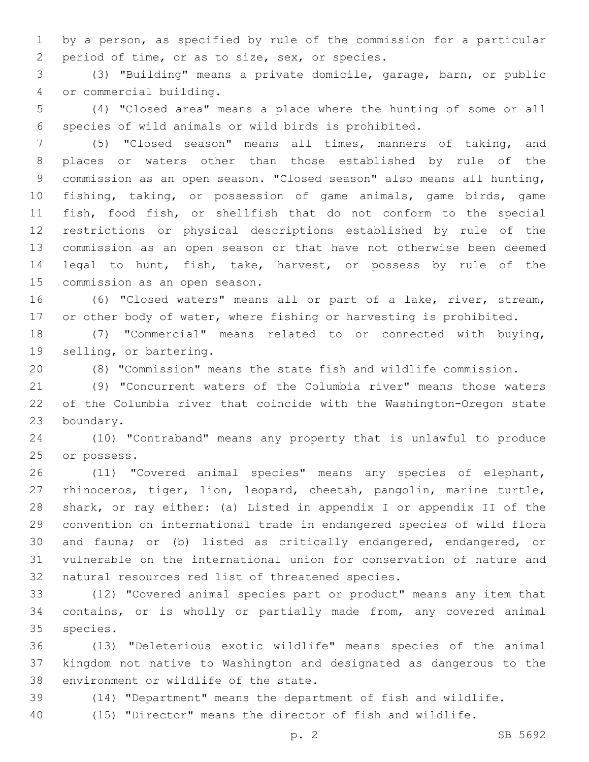by a person, as specified by rule of the commission for a particular 2 period of time, or as to size, sex, or species.

 (3) "Building" means a private domicile, garage, barn, or public or commercial building.4

 (4) "Closed area" means a place where the hunting of some or all species of wild animals or wild birds is prohibited.

 (5) "Closed season" means all times, manners of taking, and places or waters other than those established by rule of the commission as an open season. "Closed season" also means all hunting, fishing, taking, or possession of game animals, game birds, game fish, food fish, or shellfish that do not conform to the special restrictions or physical descriptions established by rule of the commission as an open season or that have not otherwise been deemed legal to hunt, fish, take, harvest, or possess by rule of the 15 commission as an open season.

 (6) "Closed waters" means all or part of a lake, river, stream, or other body of water, where fishing or harvesting is prohibited.

 (7) "Commercial" means related to or connected with buying, 19 selling, or bartering.

(8) "Commission" means the state fish and wildlife commission.

 (9) "Concurrent waters of the Columbia river" means those waters of the Columbia river that coincide with the Washington-Oregon state 23 boundary.

 (10) "Contraband" means any property that is unlawful to produce 25 or possess.

 (11) "Covered animal species" means any species of elephant, rhinoceros, tiger, lion, leopard, cheetah, pangolin, marine turtle, shark, or ray either: (a) Listed in appendix I or appendix II of the convention on international trade in endangered species of wild flora and fauna; or (b) listed as critically endangered, endangered, or vulnerable on the international union for conservation of nature and 32 natural resources red list of threatened species.

 (12) "Covered animal species part or product" means any item that contains, or is wholly or partially made from, any covered animal 35 species.

 (13) "Deleterious exotic wildlife" means species of the animal kingdom not native to Washington and designated as dangerous to the 38 environment or wildlife of the state.

(14) "Department" means the department of fish and wildlife.

(15) "Director" means the director of fish and wildlife.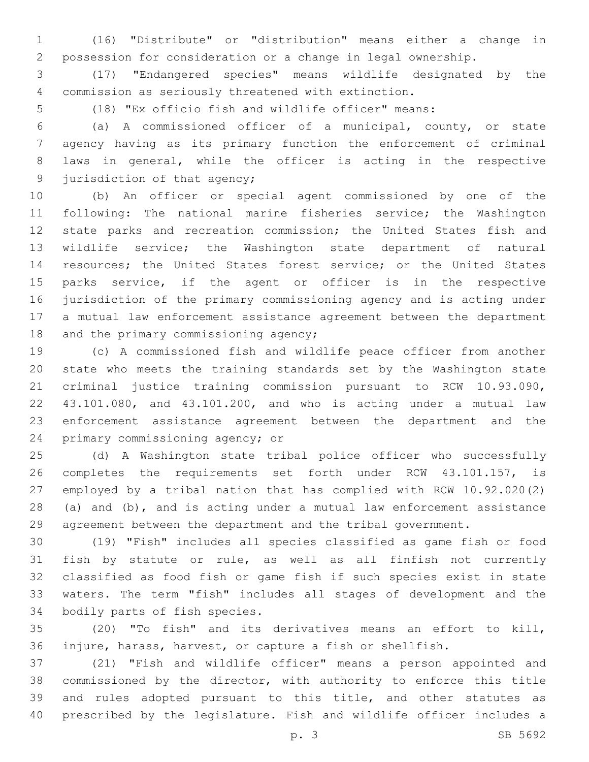(16) "Distribute" or "distribution" means either a change in possession for consideration or a change in legal ownership.

 (17) "Endangered species" means wildlife designated by the commission as seriously threatened with extinction.

(18) "Ex officio fish and wildlife officer" means:

 (a) A commissioned officer of a municipal, county, or state agency having as its primary function the enforcement of criminal laws in general, while the officer is acting in the respective 9 jurisdiction of that agency;

 (b) An officer or special agent commissioned by one of the following: The national marine fisheries service; the Washington state parks and recreation commission; the United States fish and wildlife service; the Washington state department of natural resources; the United States forest service; or the United States parks service, if the agent or officer is in the respective jurisdiction of the primary commissioning agency and is acting under a mutual law enforcement assistance agreement between the department 18 and the primary commissioning agency;

 (c) A commissioned fish and wildlife peace officer from another state who meets the training standards set by the Washington state criminal justice training commission pursuant to RCW 10.93.090, 43.101.080, and 43.101.200, and who is acting under a mutual law enforcement assistance agreement between the department and the 24 primary commissioning agency; or

 (d) A Washington state tribal police officer who successfully completes the requirements set forth under RCW 43.101.157, is employed by a tribal nation that has complied with RCW 10.92.020(2) (a) and (b), and is acting under a mutual law enforcement assistance agreement between the department and the tribal government.

 (19) "Fish" includes all species classified as game fish or food fish by statute or rule, as well as all finfish not currently classified as food fish or game fish if such species exist in state waters. The term "fish" includes all stages of development and the 34 bodily parts of fish species.

 (20) "To fish" and its derivatives means an effort to kill, injure, harass, harvest, or capture a fish or shellfish.

 (21) "Fish and wildlife officer" means a person appointed and commissioned by the director, with authority to enforce this title and rules adopted pursuant to this title, and other statutes as prescribed by the legislature. Fish and wildlife officer includes a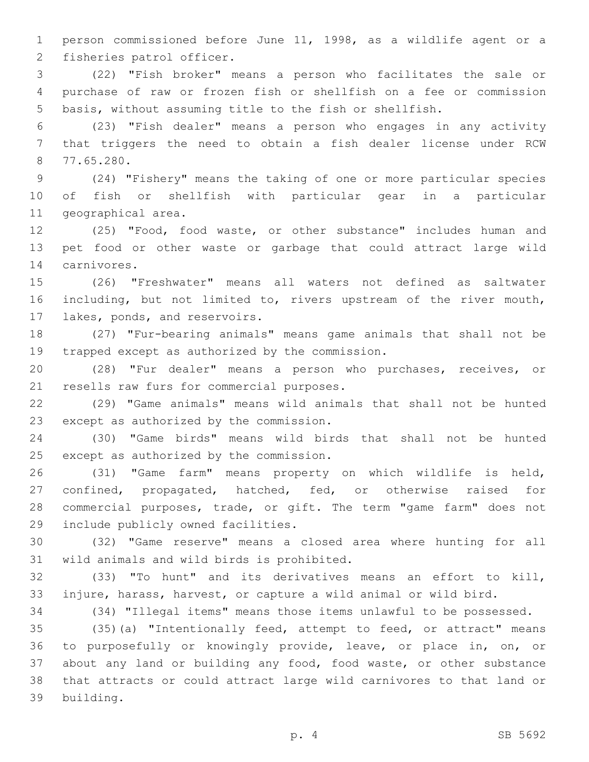person commissioned before June 11, 1998, as a wildlife agent or a 2 fisheries patrol officer.

 (22) "Fish broker" means a person who facilitates the sale or purchase of raw or frozen fish or shellfish on a fee or commission basis, without assuming title to the fish or shellfish.

 (23) "Fish dealer" means a person who engages in any activity that triggers the need to obtain a fish dealer license under RCW 77.65.280.8

 (24) "Fishery" means the taking of one or more particular species of fish or shellfish with particular gear in a particular 11 geographical area.

 (25) "Food, food waste, or other substance" includes human and pet food or other waste or garbage that could attract large wild 14 carnivores.

 (26) "Freshwater" means all waters not defined as saltwater including, but not limited to, rivers upstream of the river mouth, 17 lakes, ponds, and reservoirs.

 (27) "Fur-bearing animals" means game animals that shall not be 19 trapped except as authorized by the commission.

 (28) "Fur dealer" means a person who purchases, receives, or 21 resells raw furs for commercial purposes.

 (29) "Game animals" means wild animals that shall not be hunted 23 except as authorized by the commission.

 (30) "Game birds" means wild birds that shall not be hunted 25 except as authorized by the commission.

 (31) "Game farm" means property on which wildlife is held, confined, propagated, hatched, fed, or otherwise raised for commercial purposes, trade, or gift. The term "game farm" does not 29 include publicly owned facilities.

 (32) "Game reserve" means a closed area where hunting for all 31 wild animals and wild birds is prohibited.

 (33) "To hunt" and its derivatives means an effort to kill, injure, harass, harvest, or capture a wild animal or wild bird.

(34) "Illegal items" means those items unlawful to be possessed.

 (35)(a) "Intentionally feed, attempt to feed, or attract" means to purposefully or knowingly provide, leave, or place in, on, or about any land or building any food, food waste, or other substance that attracts or could attract large wild carnivores to that land or building.39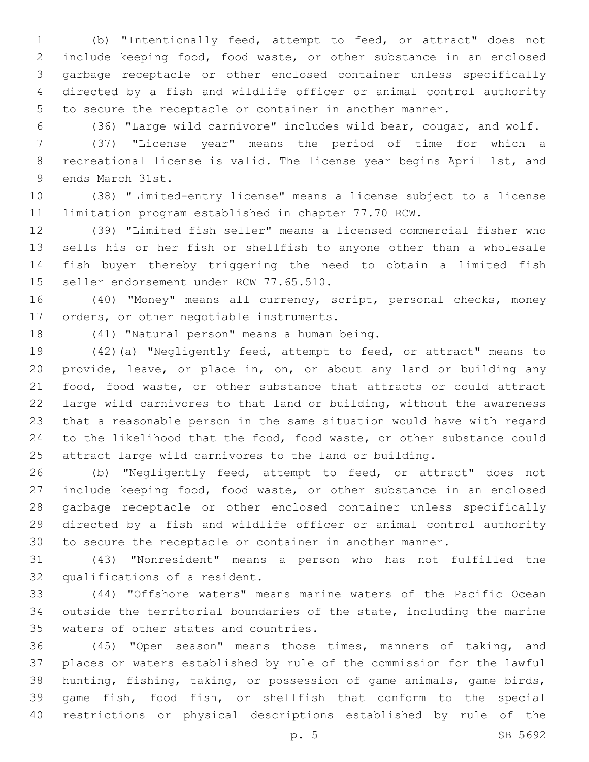(b) "Intentionally feed, attempt to feed, or attract" does not include keeping food, food waste, or other substance in an enclosed garbage receptacle or other enclosed container unless specifically directed by a fish and wildlife officer or animal control authority to secure the receptacle or container in another manner.

(36) "Large wild carnivore" includes wild bear, cougar, and wolf.

 (37) "License year" means the period of time for which a recreational license is valid. The license year begins April 1st, and 9 ends March 31st.

 (38) "Limited-entry license" means a license subject to a license limitation program established in chapter 77.70 RCW.

 (39) "Limited fish seller" means a licensed commercial fisher who sells his or her fish or shellfish to anyone other than a wholesale fish buyer thereby triggering the need to obtain a limited fish 15 seller endorsement under RCW 77.65.510.

 (40) "Money" means all currency, script, personal checks, money 17 orders, or other negotiable instruments.

18 (41) "Natural person" means a human being.

 (42)(a) "Negligently feed, attempt to feed, or attract" means to provide, leave, or place in, on, or about any land or building any food, food waste, or other substance that attracts or could attract large wild carnivores to that land or building, without the awareness that a reasonable person in the same situation would have with regard to the likelihood that the food, food waste, or other substance could attract large wild carnivores to the land or building.

 (b) "Negligently feed, attempt to feed, or attract" does not include keeping food, food waste, or other substance in an enclosed garbage receptacle or other enclosed container unless specifically directed by a fish and wildlife officer or animal control authority to secure the receptacle or container in another manner.

 (43) "Nonresident" means a person who has not fulfilled the 32 qualifications of a resident.

 (44) "Offshore waters" means marine waters of the Pacific Ocean outside the territorial boundaries of the state, including the marine 35 waters of other states and countries.

 (45) "Open season" means those times, manners of taking, and places or waters established by rule of the commission for the lawful hunting, fishing, taking, or possession of game animals, game birds, game fish, food fish, or shellfish that conform to the special restrictions or physical descriptions established by rule of the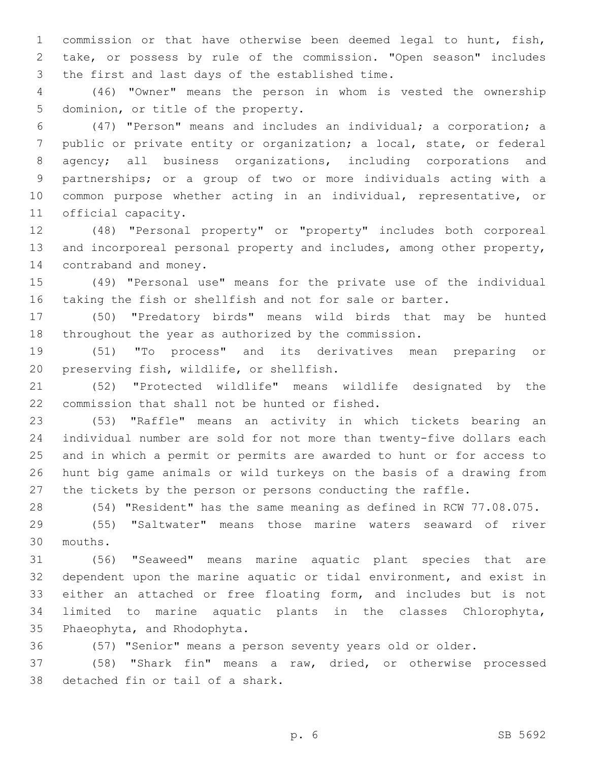commission or that have otherwise been deemed legal to hunt, fish, take, or possess by rule of the commission. "Open season" includes 3 the first and last days of the established time.

 (46) "Owner" means the person in whom is vested the ownership 5 dominion, or title of the property.

 (47) "Person" means and includes an individual; a corporation; a public or private entity or organization; a local, state, or federal agency; all business organizations, including corporations and partnerships; or a group of two or more individuals acting with a common purpose whether acting in an individual, representative, or 11 official capacity.

 (48) "Personal property" or "property" includes both corporeal and incorporeal personal property and includes, among other property, 14 contraband and money.

 (49) "Personal use" means for the private use of the individual taking the fish or shellfish and not for sale or barter.

 (50) "Predatory birds" means wild birds that may be hunted throughout the year as authorized by the commission.

 (51) "To process" and its derivatives mean preparing or 20 preserving fish, wildlife, or shellfish.

 (52) "Protected wildlife" means wildlife designated by the 22 commission that shall not be hunted or fished.

 (53) "Raffle" means an activity in which tickets bearing an individual number are sold for not more than twenty-five dollars each and in which a permit or permits are awarded to hunt or for access to hunt big game animals or wild turkeys on the basis of a drawing from the tickets by the person or persons conducting the raffle.

(54) "Resident" has the same meaning as defined in RCW 77.08.075.

 (55) "Saltwater" means those marine waters seaward of river mouths.30

 (56) "Seaweed" means marine aquatic plant species that are dependent upon the marine aquatic or tidal environment, and exist in either an attached or free floating form, and includes but is not limited to marine aquatic plants in the classes Chlorophyta, 35 Phaeophyta, and Rhodophyta.

(57) "Senior" means a person seventy years old or older.

 (58) "Shark fin" means a raw, dried, or otherwise processed 38 detached fin or tail of a shark.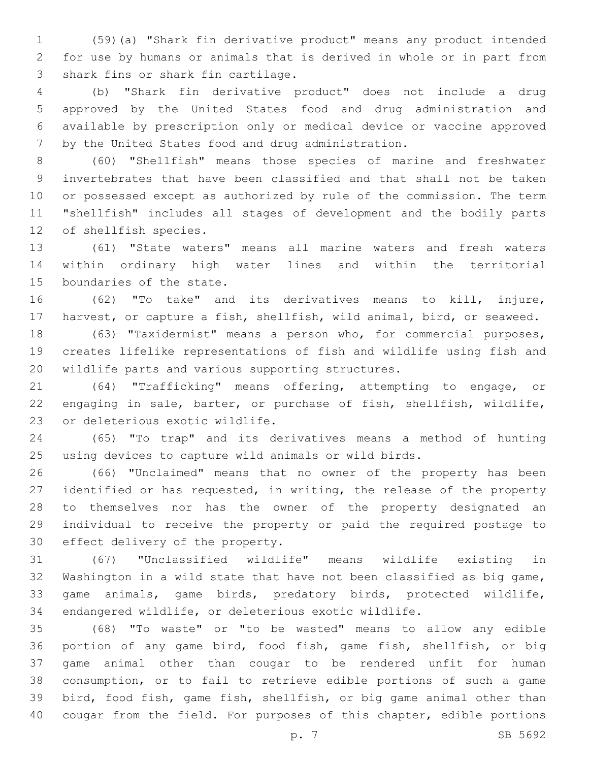(59)(a) "Shark fin derivative product" means any product intended for use by humans or animals that is derived in whole or in part from 3 shark fins or shark fin cartilage.

 (b) "Shark fin derivative product" does not include a drug approved by the United States food and drug administration and available by prescription only or medical device or vaccine approved 7 by the United States food and drug administration.

 (60) "Shellfish" means those species of marine and freshwater invertebrates that have been classified and that shall not be taken or possessed except as authorized by rule of the commission. The term "shellfish" includes all stages of development and the bodily parts 12 of shellfish species.

 (61) "State waters" means all marine waters and fresh waters within ordinary high water lines and within the territorial 15 boundaries of the state.

 (62) "To take" and its derivatives means to kill, injure, harvest, or capture a fish, shellfish, wild animal, bird, or seaweed.

 (63) "Taxidermist" means a person who, for commercial purposes, creates lifelike representations of fish and wildlife using fish and 20 wildlife parts and various supporting structures.

 (64) "Trafficking" means offering, attempting to engage, or engaging in sale, barter, or purchase of fish, shellfish, wildlife, 23 or deleterious exotic wildlife.

 (65) "To trap" and its derivatives means a method of hunting using devices to capture wild animals or wild birds.

 (66) "Unclaimed" means that no owner of the property has been identified or has requested, in writing, the release of the property to themselves nor has the owner of the property designated an individual to receive the property or paid the required postage to 30 effect delivery of the property.

 (67) "Unclassified wildlife" means wildlife existing in Washington in a wild state that have not been classified as big game, game animals, game birds, predatory birds, protected wildlife, endangered wildlife, or deleterious exotic wildlife.

 (68) "To waste" or "to be wasted" means to allow any edible portion of any game bird, food fish, game fish, shellfish, or big game animal other than cougar to be rendered unfit for human consumption, or to fail to retrieve edible portions of such a game bird, food fish, game fish, shellfish, or big game animal other than cougar from the field. For purposes of this chapter, edible portions

p. 7 SB 5692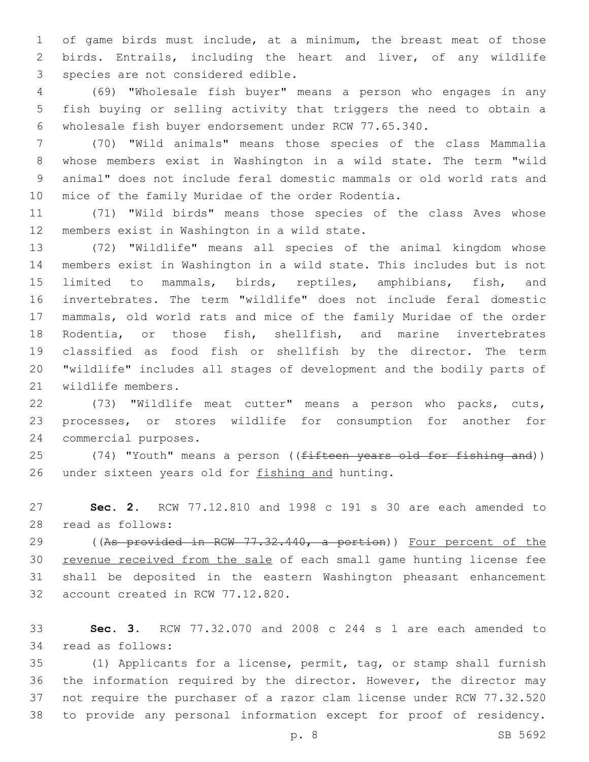of game birds must include, at a minimum, the breast meat of those birds. Entrails, including the heart and liver, of any wildlife 3 species are not considered edible.

 (69) "Wholesale fish buyer" means a person who engages in any fish buying or selling activity that triggers the need to obtain a wholesale fish buyer endorsement under RCW 77.65.340.

 (70) "Wild animals" means those species of the class Mammalia whose members exist in Washington in a wild state. The term "wild animal" does not include feral domestic mammals or old world rats and 10 mice of the family Muridae of the order Rodentia.

 (71) "Wild birds" means those species of the class Aves whose 12 members exist in Washington in a wild state.

 (72) "Wildlife" means all species of the animal kingdom whose members exist in Washington in a wild state. This includes but is not limited to mammals, birds, reptiles, amphibians, fish, and invertebrates. The term "wildlife" does not include feral domestic mammals, old world rats and mice of the family Muridae of the order Rodentia, or those fish, shellfish, and marine invertebrates classified as food fish or shellfish by the director. The term "wildlife" includes all stages of development and the bodily parts of 21 wildlife members.

 (73) "Wildlife meat cutter" means a person who packs, cuts, processes, or stores wildlife for consumption for another for 24 commercial purposes.

25 (74) "Youth" means a person ((fifteen years old for fishing and)) 26 under sixteen years old for fishing and hunting.

 **Sec. 2.** RCW 77.12.810 and 1998 c 191 s 30 are each amended to read as follows:28

29 ((As provided in RCW 77.32.440, a portion)) Four percent of the revenue received from the sale of each small game hunting license fee shall be deposited in the eastern Washington pheasant enhancement 32 account created in RCW 77.12.820.

 **Sec. 3.** RCW 77.32.070 and 2008 c 244 s 1 are each amended to 34 read as follows:

 (1) Applicants for a license, permit, tag, or stamp shall furnish the information required by the director. However, the director may not require the purchaser of a razor clam license under RCW 77.32.520 to provide any personal information except for proof of residency.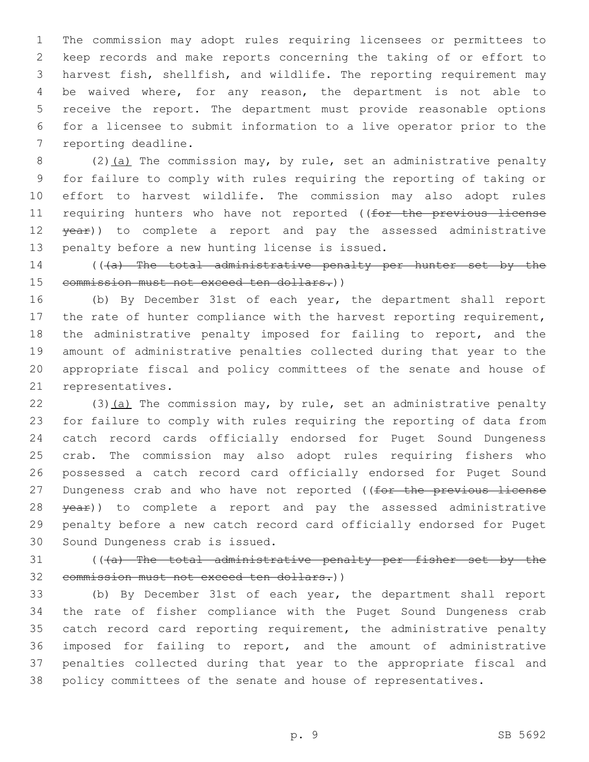The commission may adopt rules requiring licensees or permittees to keep records and make reports concerning the taking of or effort to harvest fish, shellfish, and wildlife. The reporting requirement may be waived where, for any reason, the department is not able to receive the report. The department must provide reasonable options for a licensee to submit information to a live operator prior to the 7 reporting deadline.

8 (2)(a) The commission may, by rule, set an administrative penalty for failure to comply with rules requiring the reporting of taking or effort to harvest wildlife. The commission may also adopt rules 11 requiring hunters who have not reported ((for the previous license 12 year)) to complete a report and pay the assessed administrative 13 penalty before a new hunting license is issued.

 (((a) The total administrative penalty per hunter set by the 15 commission must not exceed ten dollars.))

 (b) By December 31st of each year, the department shall report 17 the rate of hunter compliance with the harvest reporting requirement, the administrative penalty imposed for failing to report, and the amount of administrative penalties collected during that year to the appropriate fiscal and policy committees of the senate and house of 21 representatives.

 (3)(a) The commission may, by rule, set an administrative penalty for failure to comply with rules requiring the reporting of data from catch record cards officially endorsed for Puget Sound Dungeness crab. The commission may also adopt rules requiring fishers who possessed a catch record card officially endorsed for Puget Sound 27 Dungeness crab and who have not reported ((for the previous license 28 year)) to complete a report and pay the assessed administrative penalty before a new catch record card officially endorsed for Puget 30 Sound Dungeness crab is issued.

 (((a) The total administrative penalty per fisher set by the 32 commission must not exceed ten dollars.))

 (b) By December 31st of each year, the department shall report the rate of fisher compliance with the Puget Sound Dungeness crab catch record card reporting requirement, the administrative penalty imposed for failing to report, and the amount of administrative penalties collected during that year to the appropriate fiscal and policy committees of the senate and house of representatives.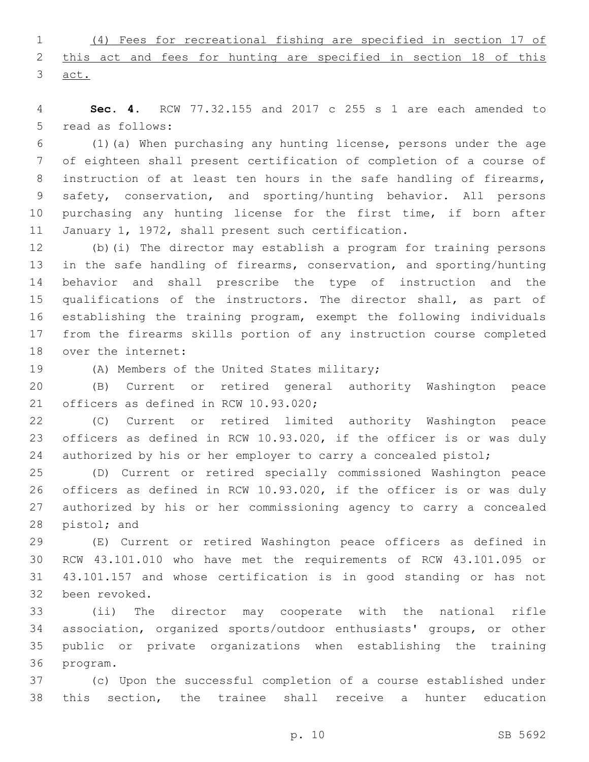(4) Fees for recreational fishing are specified in section 17 of this act and fees for hunting are specified in section 18 of this act.

 **Sec. 4.** RCW 77.32.155 and 2017 c 255 s 1 are each amended to 5 read as follows:

 (1)(a) When purchasing any hunting license, persons under the age of eighteen shall present certification of completion of a course of 8 instruction of at least ten hours in the safe handling of firearms, safety, conservation, and sporting/hunting behavior. All persons purchasing any hunting license for the first time, if born after 11 January 1, 1972, shall present such certification.

 (b)(i) The director may establish a program for training persons in the safe handling of firearms, conservation, and sporting/hunting behavior and shall prescribe the type of instruction and the qualifications of the instructors. The director shall, as part of establishing the training program, exempt the following individuals from the firearms skills portion of any instruction course completed 18 over the internet:

19 (A) Members of the United States military;

 (B) Current or retired general authority Washington peace 21 officers as defined in RCW 10.93.020;

 (C) Current or retired limited authority Washington peace officers as defined in RCW 10.93.020, if the officer is or was duly 24 authorized by his or her employer to carry a concealed pistol;

 (D) Current or retired specially commissioned Washington peace officers as defined in RCW 10.93.020, if the officer is or was duly authorized by his or her commissioning agency to carry a concealed 28 pistol; and

 (E) Current or retired Washington peace officers as defined in RCW 43.101.010 who have met the requirements of RCW 43.101.095 or 43.101.157 and whose certification is in good standing or has not 32 been revoked.

 (ii) The director may cooperate with the national rifle association, organized sports/outdoor enthusiasts' groups, or other public or private organizations when establishing the training 36 program.

 (c) Upon the successful completion of a course established under this section, the trainee shall receive a hunter education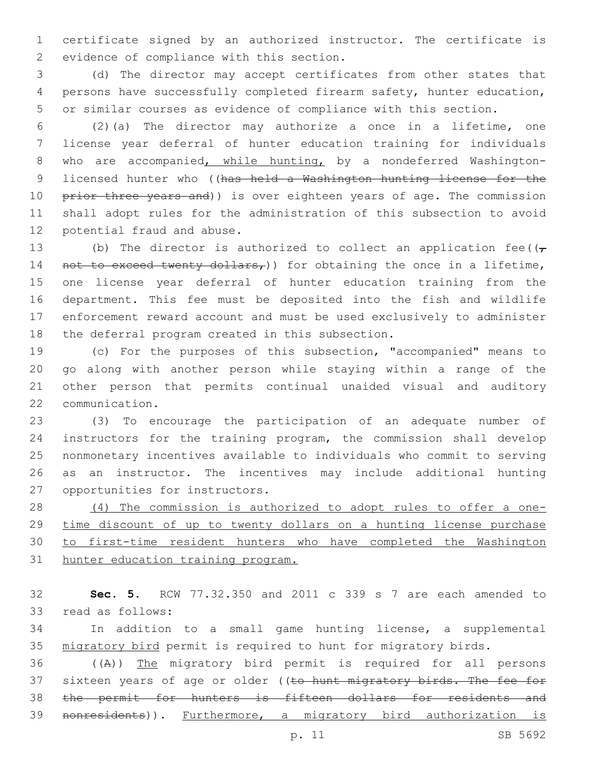certificate signed by an authorized instructor. The certificate is 2 evidence of compliance with this section.

 (d) The director may accept certificates from other states that persons have successfully completed firearm safety, hunter education, or similar courses as evidence of compliance with this section.

 (2)(a) The director may authorize a once in a lifetime, one license year deferral of hunter education training for individuals who are accompanied, while hunting, by a nondeferred Washington-9 licensed hunter who ((has held a Washington hunting license for the 10 prior three years and)) is over eighteen years of age. The commission shall adopt rules for the administration of this subsection to avoid 12 potential fraud and abuse.

13 (b) The director is authorized to collect an application fee( $(\tau$ 14 not to exceed twenty dollars,)) for obtaining the once in a lifetime, one license year deferral of hunter education training from the department. This fee must be deposited into the fish and wildlife enforcement reward account and must be used exclusively to administer 18 the deferral program created in this subsection.

 (c) For the purposes of this subsection, "accompanied" means to go along with another person while staying within a range of the other person that permits continual unaided visual and auditory 22 communication.

 (3) To encourage the participation of an adequate number of instructors for the training program, the commission shall develop nonmonetary incentives available to individuals who commit to serving as an instructor. The incentives may include additional hunting 27 opportunities for instructors.

 (4) The commission is authorized to adopt rules to offer a one-29 time discount of up to twenty dollars on a hunting license purchase to first-time resident hunters who have completed the Washington hunter education training program.

 **Sec. 5.** RCW 77.32.350 and 2011 c 339 s 7 are each amended to 33 read as follows:

 In addition to a small game hunting license, a supplemental migratory bird permit is required to hunt for migratory birds.

 ((A)) The migratory bird permit is required for all persons 37 sixteen years of age or older ((to hunt migratory birds. The fee for 38 the permit for hunters is fifteen dollars for residents and nonresidents)). Furthermore, a migratory bird authorization is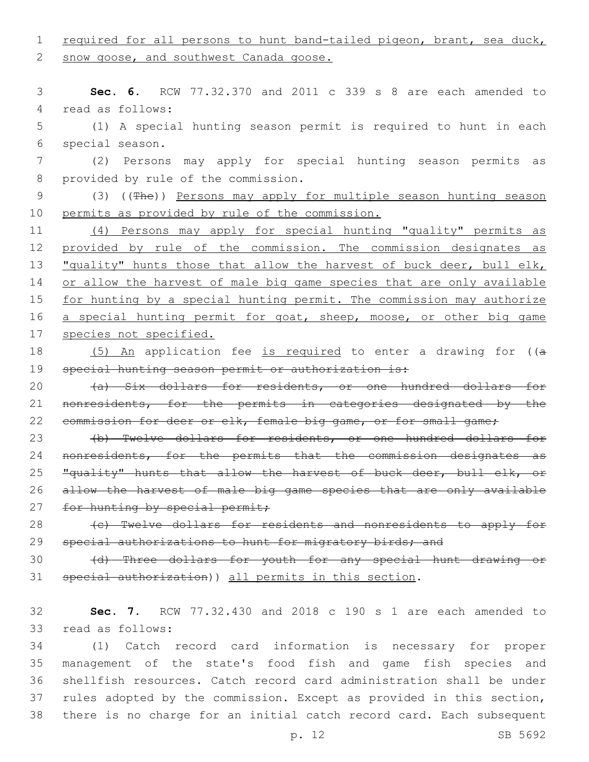1 required for all persons to hunt band-tailed pigeon, brant, sea duck,

2 snow goose, and southwest Canada goose.

3 **Sec. 6.** RCW 77.32.370 and 2011 c 339 s 8 are each amended to 4 read as follows:

5 (1) A special hunting season permit is required to hunt in each 6 special season.

7 (2) Persons may apply for special hunting season permits as 8 provided by rule of the commission.

9 (3) ((The)) Persons may apply for multiple season hunting season 10 permits as provided by rule of the commission.

11 (4) Persons may apply for special hunting "quality" permits as 12 provided by rule of the commission. The commission designates as 13 "quality" hunts those that allow the harvest of buck deer, bull elk, 14 or allow the harvest of male big game species that are only available 15 for hunting by a special hunting permit. The commission may authorize 16 a special hunting permit for goat, sheep, moose, or other big game 17 species not specified.

18 (5) An application fee is required to enter a drawing for ((a 19 special hunting season permit or authorization is:

20 (a) Six dollars for residents, or one hundred dollars for 21 nonresidents, for the permits in categories designated by the 22 commission for deer or elk, female big game, or for small game;

23 (b) Twelve dollars for residents, or one hundred dollars for 24 nonresidents, for the permits that the commission designates as 25 "quality" hunts that allow the harvest of buck deer, bull elk, or 26 allow the harvest of male big game species that are only available 27 for hunting by special permit;

28 (c) Twelve dollars for residents and nonresidents to apply for 29 special authorizations to hunt for migratory birds; and

30 (d) Three dollars for youth for any special hunt drawing or 31 special authorization)) all permits in this section.

32 **Sec. 7.** RCW 77.32.430 and 2018 c 190 s 1 are each amended to 33 read as follows:

 (1) Catch record card information is necessary for proper management of the state's food fish and game fish species and shellfish resources. Catch record card administration shall be under rules adopted by the commission. Except as provided in this section, there is no charge for an initial catch record card. Each subsequent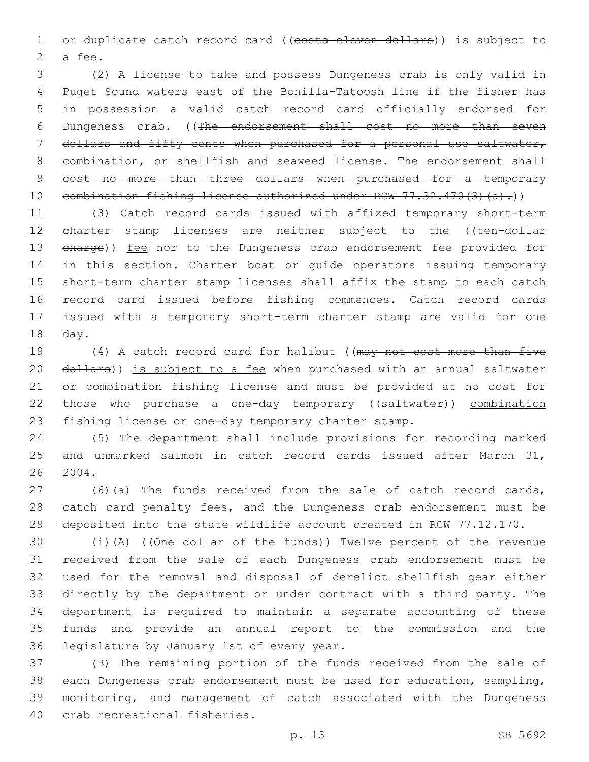1 or duplicate catch record card ((costs eleven dollars)) is subject to 2 a fee.

 (2) A license to take and possess Dungeness crab is only valid in Puget Sound waters east of the Bonilla-Tatoosh line if the fisher has in possession a valid catch record card officially endorsed for Dungeness crab. ((The endorsement shall cost no more than seven dollars and fifty cents when purchased for a personal use saltwater, 8 combination, or shellfish and seaweed license. The endorsement shall 9 cost no more than three dollars when purchased for a temporary 10 combination fishing license authorized under RCW 77.32.470(3)(a).))

 (3) Catch record cards issued with affixed temporary short-term 12 charter stamp licenses are neither subject to the ((ten-dollar 13 eharge)) fee nor to the Dungeness crab endorsement fee provided for in this section. Charter boat or guide operators issuing temporary short-term charter stamp licenses shall affix the stamp to each catch record card issued before fishing commences. Catch record cards issued with a temporary short-term charter stamp are valid for one 18 day.

19 (4) A catch record card for halibut ((may not cost more than five 20 dollars)) is subject to a fee when purchased with an annual saltwater or combination fishing license and must be provided at no cost for 22 those who purchase a one-day temporary ((saltwater)) combination fishing license or one-day temporary charter stamp.

 (5) The department shall include provisions for recording marked and unmarked salmon in catch record cards issued after March 31, 2004.

 (6)(a) The funds received from the sale of catch record cards, catch card penalty fees, and the Dungeness crab endorsement must be deposited into the state wildlife account created in RCW 77.12.170.

 (i)(A) ((One dollar of the funds)) Twelve percent of the revenue received from the sale of each Dungeness crab endorsement must be used for the removal and disposal of derelict shellfish gear either directly by the department or under contract with a third party. The department is required to maintain a separate accounting of these funds and provide an annual report to the commission and the 36 legislature by January 1st of every year.

 (B) The remaining portion of the funds received from the sale of each Dungeness crab endorsement must be used for education, sampling, monitoring, and management of catch associated with the Dungeness 40 crab recreational fisheries.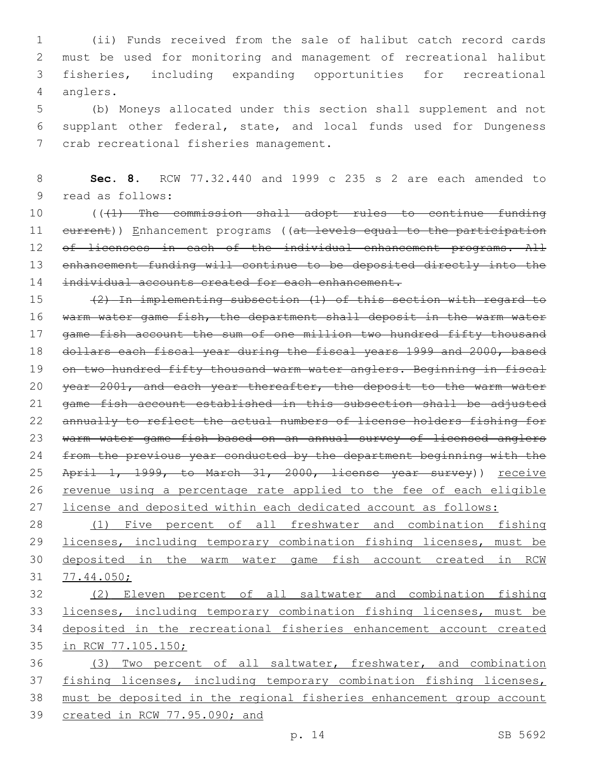(ii) Funds received from the sale of halibut catch record cards must be used for monitoring and management of recreational halibut fisheries, including expanding opportunities for recreational 4 anglers.

 (b) Moneys allocated under this section shall supplement and not supplant other federal, state, and local funds used for Dungeness 7 crab recreational fisheries management.

 **Sec. 8.** RCW 77.32.440 and 1999 c 235 s 2 are each amended to 9 read as follows:

 (((1) The commission shall adopt rules to continue funding 11 eurrent)) Enhancement programs ((at levels equal to the participation 12 of licensees in each of the individual enhancement programs. All 13 enhancement funding will continue to be deposited directly into the 14 individual accounts created for each enhancement.

 (2) In implementing subsection (1) of this section with regard to warm water game fish, the department shall deposit in the warm water 17 game fish account the sum of one million two hundred fifty thousand dollars each fiscal year during the fiscal years 1999 and 2000, based 19 on two hundred fifty thousand warm water anglers. Beginning in fiscal 20 year 2001, and each year thereafter, the deposit to the warm water game fish account established in this subsection shall be adjusted annually to reflect the actual numbers of license holders fishing for warm water game fish based on an annual survey of licensed anglers 24 from the previous year conducted by the department beginning with the 25 April 1, 1999, to March 31, 2000, license year survey)) receive 26 revenue using a percentage rate applied to the fee of each eligible license and deposited within each dedicated account as follows:

 (1) Five percent of all freshwater and combination fishing 29 licenses, including temporary combination fishing licenses, must be deposited in the warm water game fish account created in RCW 77.44.050;

 (2) Eleven percent of all saltwater and combination fishing licenses, including temporary combination fishing licenses, must be deposited in the recreational fisheries enhancement account created in RCW 77.105.150;

 (3) Two percent of all saltwater, freshwater, and combination fishing licenses, including temporary combination fishing licenses, must be deposited in the regional fisheries enhancement group account created in RCW 77.95.090; and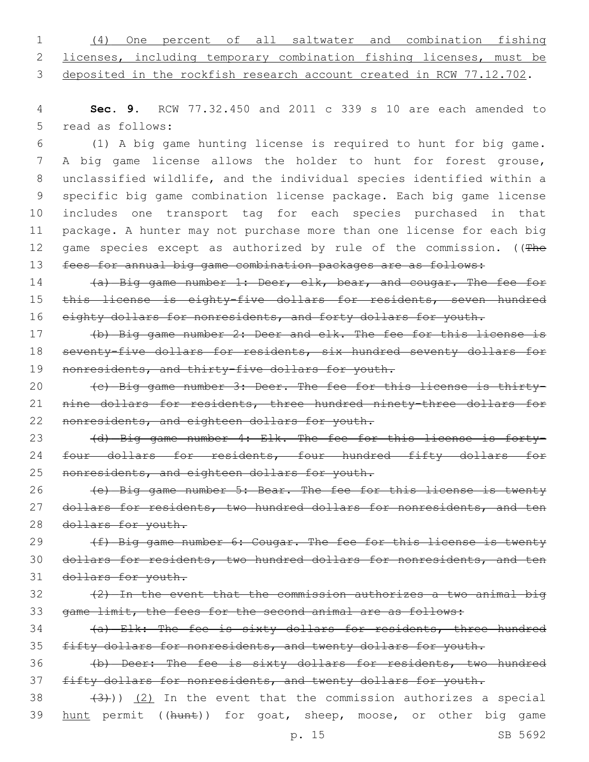| $1 \qquad \qquad$ |                                                                        |  |  |  | (4) One percent of all saltwater and combination fishing |  |
|-------------------|------------------------------------------------------------------------|--|--|--|----------------------------------------------------------|--|
|                   | 2 licenses, including temporary combination fishing licenses, must be  |  |  |  |                                                          |  |
|                   | 3 deposited in the rockfish research account created in RCW 77.12.702. |  |  |  |                                                          |  |

4 **Sec. 9.** RCW 77.32.450 and 2011 c 339 s 10 are each amended to 5 read as follows:

 (1) A big game hunting license is required to hunt for big game. A big game license allows the holder to hunt for forest grouse, unclassified wildlife, and the individual species identified within a specific big game combination license package. Each big game license includes one transport tag for each species purchased in that package. A hunter may not purchase more than one license for each big 12 game species except as authorized by rule of the commission. ((The 13 fees for annual big game combination packages are as follows:

14 (a) Big game number 1: Deer, elk, bear, and cougar. The fee for 15 this license is eighty-five dollars for residents, seven hundred 16 eighty dollars for nonresidents, and forty dollars for youth.

17 (b) Big game number 2: Deer and elk. The fee for this license is 18 seventy-five dollars for residents, six hundred seventy dollars for 19 nonresidents, and thirty-five dollars for youth.

20 (c) Big game number 3: Deer. The fee for this license is thirty-21 nine dollars for residents, three hundred ninety-three dollars for 22 nonresidents, and eighteen dollars for youth.

23 (d) Big game number 4: Elk. The fee for this license is forty-24 four dollars for residents, four hundred fifty dollars for 25 nonresidents, and eighteen dollars for youth.

26 (e) Big game number 5: Bear. The fee for this license is twenty 27 dollars for residents, two hundred dollars for nonresidents, and ten 28 dollars for youth.

29 (f) Big game number 6: Cougar. The fee for this license is twenty 30 dollars for residents, two hundred dollars for nonresidents, and ten 31 dollars for youth.

 $\frac{1}{2}$  (2) In the event that the commission authorizes a two animal big 33 game limit, the fees for the second animal are as follows:

34 (a) Elk: The fee is sixty dollars for residents, three hundred 35 fifty dollars for nonresidents, and twenty dollars for youth.

36 (b) Deer: The fee is sixty dollars for residents, two hundred 37 fifty dollars for nonresidents, and twenty dollars for youth.

 $(3)$   $(3)$ ))  $(2)$  In the event that the commission authorizes a special 39 hunt permit ((hunt)) for goat, sheep, moose, or other big game

p. 15 SB 5692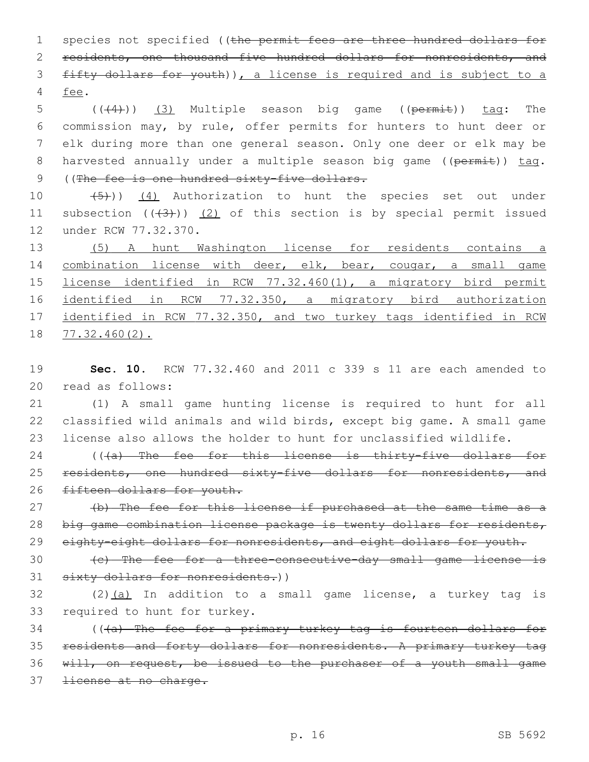1 species not specified ((the permit fees are three hundred dollars for 2 residents, one thousand five hundred dollars for nonresidents, and 3 fifty dollars for youth)), a license is required and is subject to a 4 fee.

5 (((4))) (3) Multiple season big game ((permit)) tag: The 6 commission may, by rule, offer permits for hunters to hunt deer or 7 elk during more than one general season. Only one deer or elk may be 8 harvested annually under a multiple season big game ((permit)) tag. 9 ((The fee is one hundred sixty-five dollars.

10  $(4)$  Authorization to hunt the species set out under 11 subsection  $((+3+))$   $(2)$  of this section is by special permit issued 12 under RCW 77.32.370.

 (5) A hunt Washington license for residents contains a combination license with deer, elk, bear, cougar, a small game license identified in RCW 77.32.460(1), a migratory bird permit identified in RCW 77.32.350, a migratory bird authorization 17 identified in RCW 77.32.350, and two turkey tags identified in RCW 77.32.460(2).

19 **Sec. 10.** RCW 77.32.460 and 2011 c 339 s 11 are each amended to 20 read as follows:

21 (1) A small game hunting license is required to hunt for all 22 classified wild animals and wild birds, except big game. A small game 23 license also allows the holder to hunt for unclassified wildlife.

24 (((a) The fee for this license is thirty-five dollars for 25 residents, one hundred sixty-five dollars for nonresidents, and 26 fifteen dollars for youth.

27 (b) The fee for this license if purchased at the same time as a 28 big game combination license package is twenty dollars for residents, 29 eighty-eight dollars for nonresidents, and eight dollars for youth.

30 (c) The fee for a three-consecutive-day small game license is 31 sixty dollars for nonresidents.))

 $32$  (2)(a) In addition to a small game license, a turkey tag is 33 required to hunt for turkey.

34 (((a) The fee for a primary turkey tag is fourteen dollars for 35 residents and forty dollars for nonresidents. A primary turkey tag 36 will, on request, be issued to the purchaser of a youth small game 37 <del>license at no charge.</del>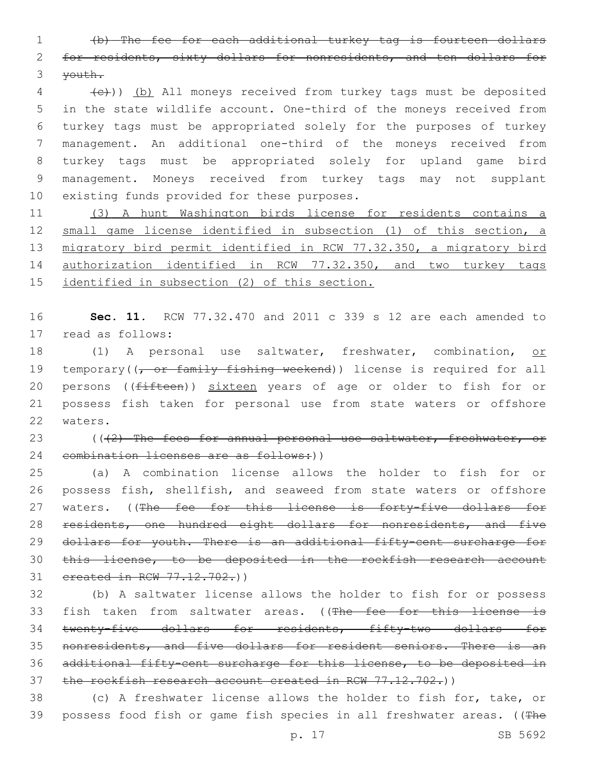1 (b) The fee for each additional turkey tag is fourteen dollars 2 for residents, sixty dollars for nonresidents, and ten dollars for 3 youth.

4 (e)) (b) All moneys received from turkey tags must be deposited in the state wildlife account. One-third of the moneys received from turkey tags must be appropriated solely for the purposes of turkey management. An additional one-third of the moneys received from turkey tags must be appropriated solely for upland game bird management. Moneys received from turkey tags may not supplant 10 existing funds provided for these purposes.

11 (3) A hunt Washington birds license for residents contains a 12 small game license identified in subsection (1) of this section, a 13 migratory bird permit identified in RCW 77.32.350, a migratory bird 14 authorization identified in RCW 77.32.350, and two turkey tags 15 identified in subsection (2) of this section.

16 **Sec. 11.** RCW 77.32.470 and 2011 c 339 s 12 are each amended to 17 read as follows:

18 (1) A personal use saltwater, freshwater, combination, or 19 temporary((<del>, or family fishing weekend</del>)) license is required for all 20 persons ((fifteen)) sixteen years of age or older to fish for or 21 possess fish taken for personal use from state waters or offshore 22 waters.

23 (((2) The fees for annual personal use saltwater, freshwater, or 24 combination licenses are as follows:))

25 (a) A combination license allows the holder to fish for or 26 possess fish, shellfish, and seaweed from state waters or offshore 27 waters. ((The fee for this license is forty-five dollars for 28 residents, one hundred eight dollars for nonresidents, and five 29 dollars for youth. There is an additional fifty-cent surcharge for 30 this license, to be deposited in the rockfish research account 31 created in RCW 77.12.702.))

32 (b) A saltwater license allows the holder to fish for or possess 33 fish taken from saltwater areas. ((The fee for this license is 34 twenty-five dollars for residents, fifty-two dollars for 35 nonresidents, and five dollars for resident seniors. There is an 36 additional fifty-cent surcharge for this license, to be deposited in 37 the rockfish research account created in RCW 77.12.702.))

38 (c) A freshwater license allows the holder to fish for, take, or 39 possess food fish or game fish species in all freshwater areas. ((The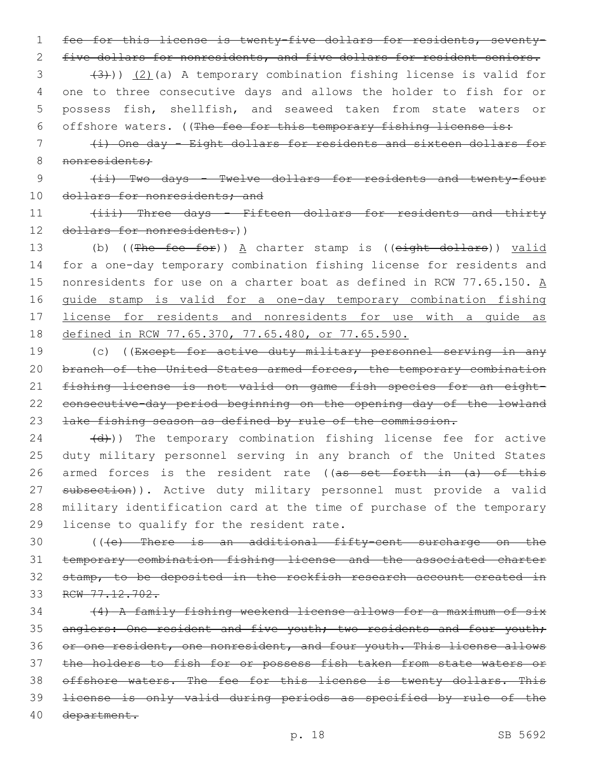1 fee for this license is twenty-five dollars for residents, seventy-

2 five dollars for nonresidents, and five dollars for resident seniors.

 $(3 + (3))$   $(2)$  (a) A temporary combination fishing license is valid for 4 one to three consecutive days and allows the holder to fish for or 5 possess fish, shellfish, and seaweed taken from state waters or 6 offshore waters. ((The fee for this temporary fishing license is:

7 (i) One day - Eight dollars for residents and sixteen dollars for 8 nonresidents:

9 (ii) Two days - Twelve dollars for residents and twenty-four 10 dollars for nonresidents; and

11 (iii) Three days - Fifteen dollars for residents and thirty 12 dollars for nonresidents.))

13 (b) ((The fee for)) A charter stamp is ((eight dollars)) valid for a one-day temporary combination fishing license for residents and 15 nonresidents for use on a charter boat as defined in RCW 77.65.150.  $\underline{A}$  guide stamp is valid for a one-day temporary combination fishing license for residents and nonresidents for use with a guide as defined in RCW 77.65.370, 77.65.480, or 77.65.590.

19 (c) ((Except for active duty military personnel serving in any 20 branch of the United States armed forces, the temporary combination 21 fishing license is not valid on game fish species for an eight-22 consecutive-day period beginning on the opening day of the lowland 23 lake fishing season as defined by rule of the commission.

 $(24 - (d))$ ) The temporary combination fishing license fee for active 25 duty military personnel serving in any branch of the United States 26 armed forces is the resident rate ((as set forth in (a) of this 27 subsection)). Active duty military personnel must provide a valid 28 military identification card at the time of purchase of the temporary 29 license to qualify for the resident rate.

30 (((e) There is an additional fifty-cent surcharge on the 31 temporary combination fishing license and the associated charter 32 stamp, to be deposited in the rockfish research account created in 33 RCW 77.12.702.

34 (4) A family fishing weekend license allows for a maximum of six 35 anglers: One resident and five youth; two residents and four youth; 36 or one resident, one nonresident, and four youth. This license allows 37 the holders to fish for or possess fish taken from state waters or 38 offshore waters. The fee for this license is twenty dollars. This 39 license is only valid during periods as specified by rule of the 40 department.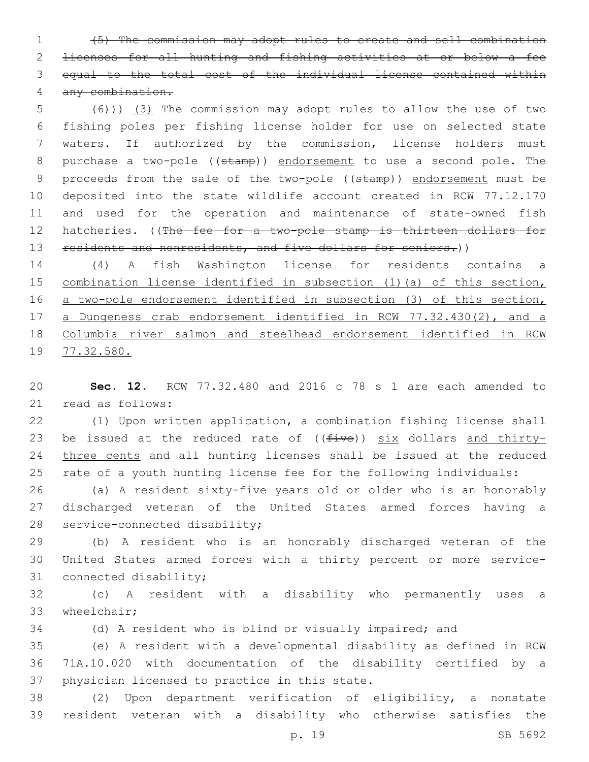(5) The commission may adopt rules to create and sell combination licenses for all hunting and fishing activities at or below a fee equal to the total cost of the individual license contained within any combination.

 $(6)$  (3) The commission may adopt rules to allow the use of two fishing poles per fishing license holder for use on selected state waters. If authorized by the commission, license holders must 8 purchase a two-pole ((stamp)) endorsement to use a second pole. The 9 proceeds from the sale of the two-pole ((stamp)) endorsement must be deposited into the state wildlife account created in RCW 77.12.170 and used for the operation and maintenance of state-owned fish 12 hatcheries. ((The fee for a two-pole stamp is thirteen dollars for 13 residents and nonresidents, and five dollars for seniors.))

 (4) A fish Washington license for residents contains a 15 combination license identified in subsection (1) (a) of this section, a two-pole endorsement identified in subsection (3) of this section, a Dungeness crab endorsement identified in RCW 77.32.430(2), and a Columbia river salmon and steelhead endorsement identified in RCW 77.32.580.

 **Sec. 12.** RCW 77.32.480 and 2016 c 78 s 1 are each amended to 21 read as follows:

 (1) Upon written application, a combination fishing license shall 23 be issued at the reduced rate of  $((five))$  six dollars and thirty- three cents and all hunting licenses shall be issued at the reduced rate of a youth hunting license fee for the following individuals:

 (a) A resident sixty-five years old or older who is an honorably discharged veteran of the United States armed forces having a 28 service-connected disability;

 (b) A resident who is an honorably discharged veteran of the United States armed forces with a thirty percent or more service-31 connected disability;

 (c) A resident with a disability who permanently uses a 33 wheelchair;

(d) A resident who is blind or visually impaired; and

 (e) A resident with a developmental disability as defined in RCW 71A.10.020 with documentation of the disability certified by a 37 physician licensed to practice in this state.

 (2) Upon department verification of eligibility, a nonstate resident veteran with a disability who otherwise satisfies the

p. 19 SB 5692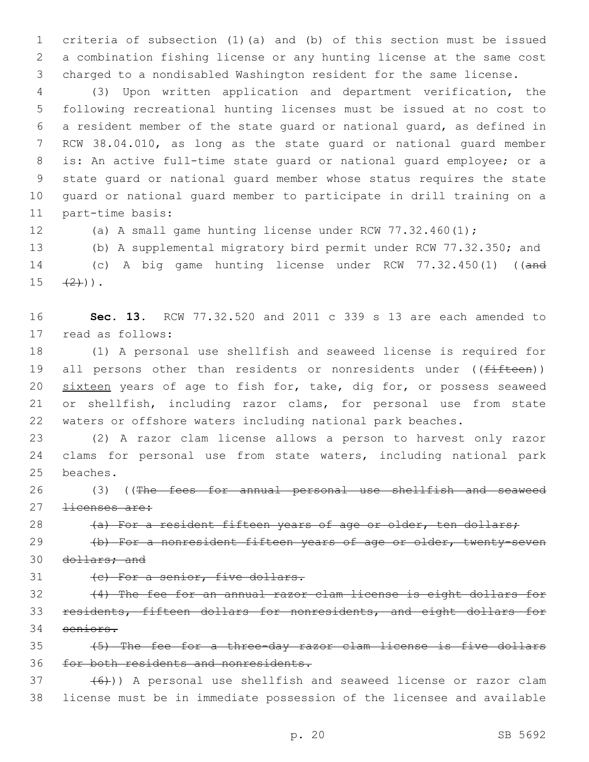criteria of subsection (1)(a) and (b) of this section must be issued a combination fishing license or any hunting license at the same cost charged to a nondisabled Washington resident for the same license.

 (3) Upon written application and department verification, the following recreational hunting licenses must be issued at no cost to a resident member of the state guard or national guard, as defined in RCW 38.04.010, as long as the state guard or national guard member is: An active full-time state guard or national guard employee; or a state guard or national guard member whose status requires the state guard or national guard member to participate in drill training on a 11 part-time basis:

(a) A small game hunting license under RCW 77.32.460(1);

 (b) A supplemental migratory bird permit under RCW 77.32.350; and 14 (c) A big game hunting license under RCW 77.32.450(1) ((and  $15 \t + (2)$ ).

 **Sec. 13.** RCW 77.32.520 and 2011 c 339 s 13 are each amended to 17 read as follows:

 (1) A personal use shellfish and seaweed license is required for 19 all persons other than residents or nonresidents under ((fifteen)) 20 sixteen years of age to fish for, take, dig for, or possess seaweed or shellfish, including razor clams, for personal use from state waters or offshore waters including national park beaches.

 (2) A razor clam license allows a person to harvest only razor clams for personal use from state waters, including national park 25 beaches.

26 (3) ((The fees for annual personal use shellfish and seaweed 27 <del>licenses are:</del>

28 (a) For a resident fifteen years of age or older, ten dollars;

29 (b) For a nonresident fifteen years of age or older, twenty-seven dollars; and

31 (c) For a senior, five dollars.

 (4) The fee for an annual razor clam license is eight dollars for residents, fifteen dollars for nonresidents, and eight dollars for seniors.

 (5) The fee for a three-day razor clam license is five dollars for both residents and nonresidents.

 $(6)$ )) A personal use shellfish and seaweed license or razor clam license must be in immediate possession of the licensee and available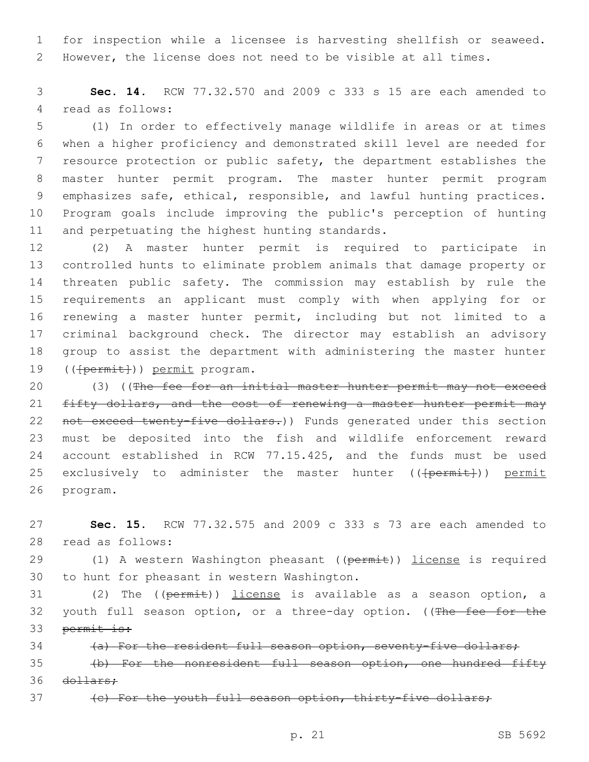1 for inspection while a licensee is harvesting shellfish or seaweed. 2 However, the license does not need to be visible at all times.

3 **Sec. 14.** RCW 77.32.570 and 2009 c 333 s 15 are each amended to 4 read as follows:

 (1) In order to effectively manage wildlife in areas or at times when a higher proficiency and demonstrated skill level are needed for resource protection or public safety, the department establishes the master hunter permit program. The master hunter permit program emphasizes safe, ethical, responsible, and lawful hunting practices. Program goals include improving the public's perception of hunting 11 and perpetuating the highest hunting standards.

 (2) A master hunter permit is required to participate in controlled hunts to eliminate problem animals that damage property or threaten public safety. The commission may establish by rule the requirements an applicant must comply with when applying for or renewing a master hunter permit, including but not limited to a criminal background check. The director may establish an advisory group to assist the department with administering the master hunter 19 ((<del>[permit]</del>)) permit program.

20 (3) ((The fee for an initial master hunter permit may not exceed 21 fifty dollars, and the cost of renewing a master hunter permit may 22 not exceed twenty-five dollars.)) Funds generated under this section 23 must be deposited into the fish and wildlife enforcement reward 24 account established in RCW 77.15.425, and the funds must be used 25 exclusively to administer the master hunter ((<del>[permit]</del>)) permit 26 program.

27 **Sec. 15.** RCW 77.32.575 and 2009 c 333 s 73 are each amended to 28 read as follows:

29 (1) A western Washington pheasant ((permit)) license is required 30 to hunt for pheasant in western Washington.

31 (2) The ((permit)) license is available as a season option, a 32 youth full season option, or a three-day option. ((The fee for the 33 permit is:

34 (a) For the resident full season option, seventy-five dollars;

35 (b) For the nonresident full season option, one hundred fifty 36 <del>dollars:</del>

37 (c) For the youth full season option, thirty-five dollars;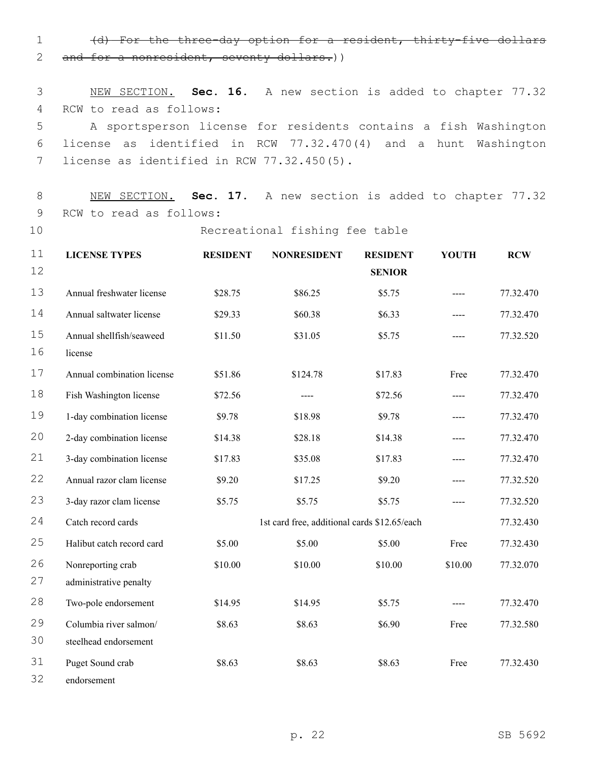1 (d) For the three-day option for a resident, thirty-five dollars 2 and for a nonresident, seventy dollars.))

3 NEW SECTION. **Sec. 16.** A new section is added to chapter 77.32 4 RCW to read as follows: 5 A sportsperson license for residents contains a fish Washington 6 license as identified in RCW 77.32.470(4) and a hunt Washington 7 license as identified in RCW 77.32.450(5).

8 NEW SECTION. **Sec. 17.** A new section is added to chapter 77.32 9 RCW to read as follows:

10 Recreational fishing fee table

| 11       | <b>LICENSE TYPES</b>                | <b>RESIDENT</b> | <b>NONRESIDENT</b>                           | <b>RESIDENT</b> | <b>YOUTH</b> | <b>RCW</b> |
|----------|-------------------------------------|-----------------|----------------------------------------------|-----------------|--------------|------------|
| 12       |                                     |                 |                                              | <b>SENIOR</b>   |              |            |
| 13       | Annual freshwater license           | \$28.75         | \$86.25                                      | \$5.75          |              | 77.32.470  |
| 14       | Annual saltwater license            | \$29.33         | \$60.38                                      | \$6.33          |              | 77.32.470  |
| 15<br>16 | Annual shellfish/seaweed<br>license | \$11.50         | \$31.05                                      | \$5.75          | $---$        | 77.32.520  |
| 17       | Annual combination license          | \$51.86         | \$124.78                                     | \$17.83         | Free         | 77.32.470  |
| 18       | Fish Washington license             | \$72.56         | ----                                         | \$72.56         | $---$        | 77.32.470  |
| 19       | 1-day combination license           | \$9.78          | \$18.98                                      | \$9.78          |              | 77.32.470  |
| 20       | 2-day combination license           | \$14.38         | \$28.18                                      | \$14.38         |              | 77.32.470  |
| 21       | 3-day combination license           | \$17.83         | \$35.08                                      | \$17.83         |              | 77.32.470  |
| 22       | Annual razor clam license           | \$9.20          | \$17.25                                      | \$9.20          |              | 77.32.520  |
| 23       | 3-day razor clam license            | \$5.75          | \$5.75                                       | \$5.75          |              | 77.32.520  |
| 24       | Catch record cards                  |                 | 1st card free, additional cards \$12.65/each |                 |              | 77.32.430  |
| 25       | Halibut catch record card           | \$5.00          | \$5.00                                       | \$5.00          | Free         | 77.32.430  |
| 26       | Nonreporting crab                   | \$10.00         | \$10.00                                      | \$10.00         | \$10.00      | 77.32.070  |
| 27       | administrative penalty              |                 |                                              |                 |              |            |
| 28       | Two-pole endorsement                | \$14.95         | \$14.95                                      | \$5.75          |              | 77.32.470  |
| 29       | Columbia river salmon/              | \$8.63          | \$8.63                                       | \$6.90          | Free         | 77.32.580  |
| 30       | steelhead endorsement               |                 |                                              |                 |              |            |
| 31       | Puget Sound crab                    | \$8.63          | \$8.63                                       | \$8.63          | Free         | 77.32.430  |
| 32       | endorsement                         |                 |                                              |                 |              |            |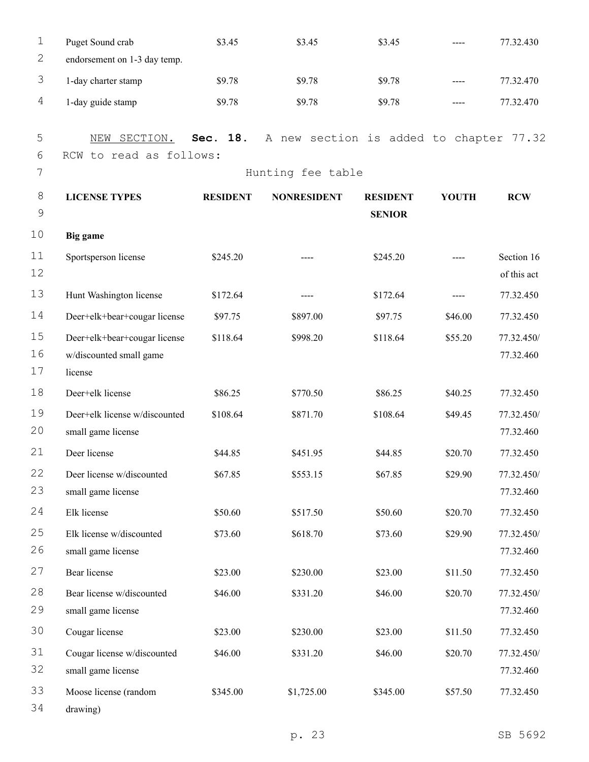| 1           | Puget Sound crab              | \$3.45          | \$3.45                                  | \$3.45          |              | 77.32.430   |
|-------------|-------------------------------|-----------------|-----------------------------------------|-----------------|--------------|-------------|
| 2           | endorsement on 1-3 day temp.  |                 |                                         |                 |              |             |
| 3           | 1-day charter stamp           | \$9.78          | \$9.78                                  | \$9.78          | ----         | 77.32.470   |
| 4           | 1-day guide stamp             | \$9.78          | \$9.78                                  | \$9.78          | $---$        | 77.32.470   |
| 5           | SECTION.<br>NEW               | 18.<br>Sec.     | A new section is added to chapter 77.32 |                 |              |             |
| 6           | RCW to read as follows:       |                 |                                         |                 |              |             |
| 7           |                               |                 | Hunting fee table                       |                 |              |             |
| 8           | <b>LICENSE TYPES</b>          | <b>RESIDENT</b> | <b>NONRESIDENT</b>                      | <b>RESIDENT</b> | <b>YOUTH</b> | <b>RCW</b>  |
| $\mathsf 9$ |                               |                 |                                         | <b>SENIOR</b>   |              |             |
| 10          | Big game                      |                 |                                         |                 |              |             |
| 11          | Sportsperson license          | \$245.20        |                                         | \$245.20        |              | Section 16  |
| 12          |                               |                 |                                         |                 |              | of this act |
| 13          | Hunt Washington license       | \$172.64        | ----                                    | \$172.64        |              | 77.32.450   |
| 14          | Deer+elk+bear+cougar license  | \$97.75         | \$897.00                                | \$97.75         | \$46.00      | 77.32.450   |
| 15          | Deer+elk+bear+cougar license  | \$118.64        | \$998.20                                | \$118.64        | \$55.20      | 77.32.450/  |
| 16          | w/discounted small game       |                 |                                         |                 |              | 77.32.460   |
| 17          | license                       |                 |                                         |                 |              |             |
| 18          | Deer+elk license              | \$86.25         | \$770.50                                | \$86.25         | \$40.25      | 77.32.450   |
| 19          | Deer+elk license w/discounted | \$108.64        | \$871.70                                | \$108.64        | \$49.45      | 77.32.450/  |
| 20          | small game license            |                 |                                         |                 |              | 77.32.460   |
| 21          | Deer license                  | \$44.85         | \$451.95                                | \$44.85         | \$20.70      | 77.32.450   |
| 22          | Deer license w/discounted     | \$67.85         | \$553.15                                | \$67.85         | \$29.90      | 77.32.450/  |
| 23          | small game license            |                 |                                         |                 |              | 77.32.460   |
| 24          | Elk license                   | \$50.60         | \$517.50                                | \$50.60         | \$20.70      | 77.32.450   |
| 25          | Elk license w/discounted      | \$73.60         | \$618.70                                | \$73.60         | \$29.90      | 77.32.450/  |
| 26          | small game license            |                 |                                         |                 |              | 77.32.460   |
| 27          | Bear license                  | \$23.00         | \$230.00                                | \$23.00         | \$11.50      | 77.32.450   |
| 28          | Bear license w/discounted     | \$46.00         | \$331.20                                | \$46.00         | \$20.70      | 77.32.450/  |
| 29          | small game license            |                 |                                         |                 |              | 77.32.460   |
| 30          | Cougar license                | \$23.00         | \$230.00                                | \$23.00         | \$11.50      | 77.32.450   |
| 31          | Cougar license w/discounted   | \$46.00         | \$331.20                                | \$46.00         | \$20.70      | 77.32.450/  |
| 32          | small game license            |                 |                                         |                 |              | 77.32.460   |
| 33          | Moose license (random         | \$345.00        | \$1,725.00                              | \$345.00        | \$57.50      | 77.32.450   |
| 34          | drawing)                      |                 |                                         |                 |              |             |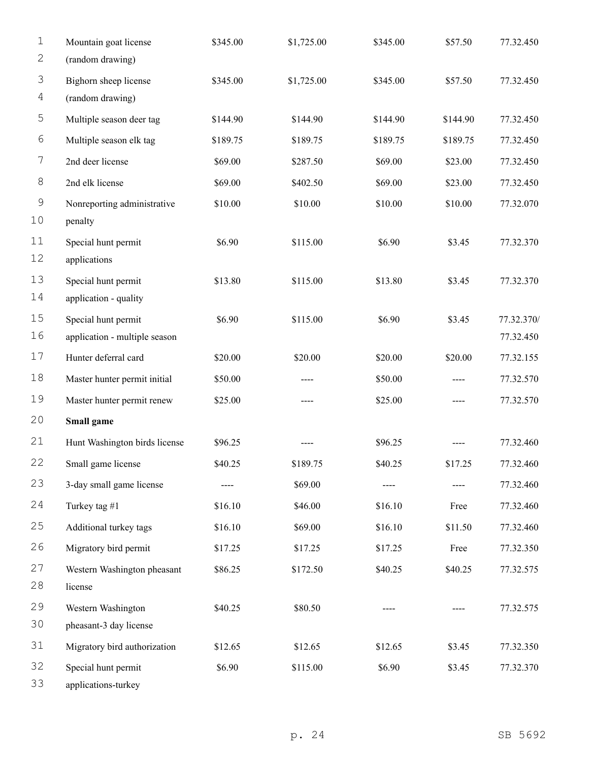| $\mathbf 1$         | Mountain goat license                        | \$345.00 | \$1,725.00 | \$345.00 | \$57.50  | 77.32.450  |
|---------------------|----------------------------------------------|----------|------------|----------|----------|------------|
| $\mathbf{2}$        | (random drawing)                             |          |            |          |          |            |
| $\mathfrak{Z}$      | Bighorn sheep license                        | \$345.00 | \$1,725.00 | \$345.00 | \$57.50  | 77.32.450  |
| 4                   | (random drawing)                             |          |            |          |          |            |
| 5                   | Multiple season deer tag                     | \$144.90 | \$144.90   | \$144.90 | \$144.90 | 77.32.450  |
| 6                   | Multiple season elk tag                      | \$189.75 | \$189.75   | \$189.75 | \$189.75 | 77.32.450  |
| 7                   | 2nd deer license                             | \$69.00  | \$287.50   | \$69.00  | \$23.00  | 77.32.450  |
| $\,8\,$             | 2nd elk license                              | \$69.00  | \$402.50   | \$69.00  | \$23.00  | 77.32.450  |
| $\mathsf 9$<br>$10$ | Nonreporting administrative<br>penalty       | \$10.00  | \$10.00    | \$10.00  | \$10.00  | 77.32.070  |
| 11<br>12            | Special hunt permit<br>applications          | \$6.90   | \$115.00   | \$6.90   | \$3.45   | 77.32.370  |
| 13<br>14            | Special hunt permit<br>application - quality | \$13.80  | \$115.00   | \$13.80  | \$3.45   | 77.32.370  |
| 15                  | Special hunt permit                          | \$6.90   | \$115.00   | \$6.90   | \$3.45   | 77.32.370/ |
| 16                  | application - multiple season                |          |            |          |          | 77.32.450  |
| 17                  | Hunter deferral card                         | \$20.00  | \$20.00    | \$20.00  | \$20.00  | 77.32.155  |
| 18                  | Master hunter permit initial                 | \$50.00  | ----       | \$50.00  | ----     | 77.32.570  |
| 19                  | Master hunter permit renew                   | \$25.00  | ----       | \$25.00  |          | 77.32.570  |
| 20                  | Small game                                   |          |            |          |          |            |
| 21                  | Hunt Washington birds license                | \$96.25  |            | \$96.25  |          | 77.32.460  |
| 22                  | Small game license                           | \$40.25  | \$189.75   | \$40.25  | \$17.25  | 77.32.460  |
| 23                  | 3-day small game license                     |          | \$69.00    |          | ----     | 77.32.460  |
| 24                  | Turkey tag #1                                | \$16.10  | \$46.00    | \$16.10  | Free     | 77.32.460  |
| 25                  | Additional turkey tags                       | \$16.10  | \$69.00    | \$16.10  | \$11.50  | 77.32.460  |
| 26                  | Migratory bird permit                        | \$17.25  | \$17.25    | \$17.25  | Free     | 77.32.350  |
| 27<br>28            | Western Washington pheasant<br>license       | \$86.25  | \$172.50   | \$40.25  | \$40.25  | 77.32.575  |
| 29                  | Western Washington                           | \$40.25  | \$80.50    |          |          | 77.32.575  |
| 30                  | pheasant-3 day license                       |          |            |          |          |            |
| 31                  | Migratory bird authorization                 | \$12.65  | \$12.65    | \$12.65  | \$3.45   | 77.32.350  |
| 32<br>33            | Special hunt permit<br>applications-turkey   | \$6.90   | \$115.00   | \$6.90   | \$3.45   | 77.32.370  |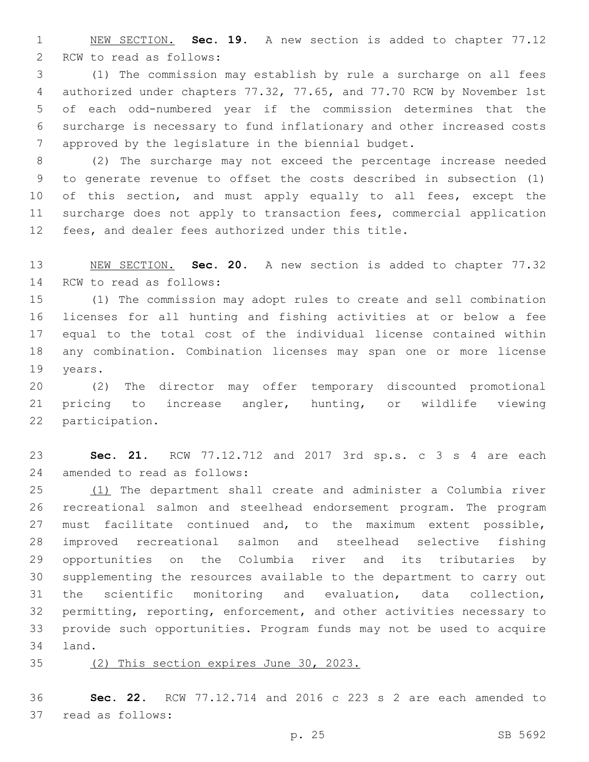NEW SECTION. **Sec. 19.** A new section is added to chapter 77.12 2 RCW to read as follows:

 (1) The commission may establish by rule a surcharge on all fees authorized under chapters 77.32, 77.65, and 77.70 RCW by November 1st of each odd-numbered year if the commission determines that the surcharge is necessary to fund inflationary and other increased costs approved by the legislature in the biennial budget.

 (2) The surcharge may not exceed the percentage increase needed to generate revenue to offset the costs described in subsection (1) 10 of this section, and must apply equally to all fees, except the surcharge does not apply to transaction fees, commercial application fees, and dealer fees authorized under this title.

 NEW SECTION. **Sec. 20.** A new section is added to chapter 77.32 14 RCW to read as follows:

 (1) The commission may adopt rules to create and sell combination licenses for all hunting and fishing activities at or below a fee equal to the total cost of the individual license contained within any combination. Combination licenses may span one or more license 19 years.

 (2) The director may offer temporary discounted promotional pricing to increase angler, hunting, or wildlife viewing 22 participation.

 **Sec. 21.** RCW 77.12.712 and 2017 3rd sp.s. c 3 s 4 are each 24 amended to read as follows:

 (1) The department shall create and administer a Columbia river recreational salmon and steelhead endorsement program. The program must facilitate continued and, to the maximum extent possible, improved recreational salmon and steelhead selective fishing opportunities on the Columbia river and its tributaries by supplementing the resources available to the department to carry out the scientific monitoring and evaluation, data collection, permitting, reporting, enforcement, and other activities necessary to provide such opportunities. Program funds may not be used to acquire 34 land.

(2) This section expires June 30, 2023.

 **Sec. 22.** RCW 77.12.714 and 2016 c 223 s 2 are each amended to 37 read as follows: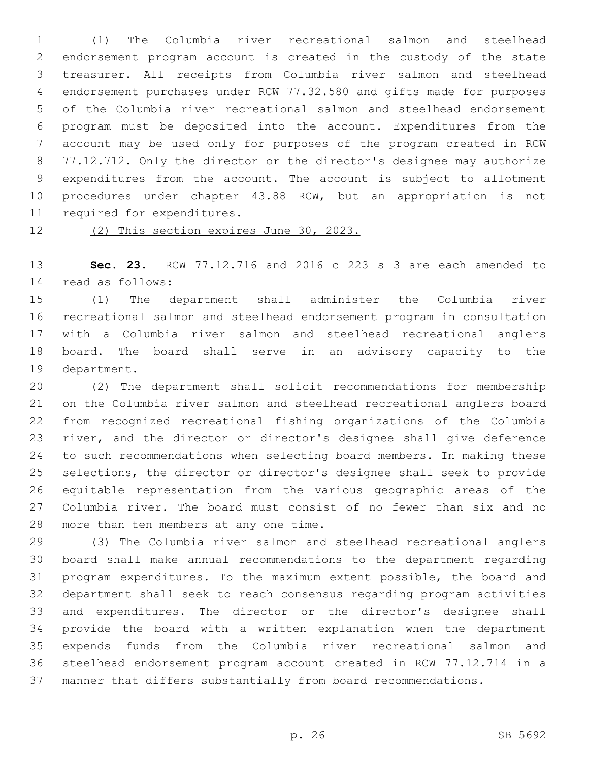(1) The Columbia river recreational salmon and steelhead endorsement program account is created in the custody of the state treasurer. All receipts from Columbia river salmon and steelhead endorsement purchases under RCW 77.32.580 and gifts made for purposes of the Columbia river recreational salmon and steelhead endorsement program must be deposited into the account. Expenditures from the account may be used only for purposes of the program created in RCW 77.12.712. Only the director or the director's designee may authorize expenditures from the account. The account is subject to allotment procedures under chapter 43.88 RCW, but an appropriation is not 11 required for expenditures.

(2) This section expires June 30, 2023.

 **Sec. 23.** RCW 77.12.716 and 2016 c 223 s 3 are each amended to 14 read as follows:

 (1) The department shall administer the Columbia river recreational salmon and steelhead endorsement program in consultation with a Columbia river salmon and steelhead recreational anglers board. The board shall serve in an advisory capacity to the 19 department.

 (2) The department shall solicit recommendations for membership on the Columbia river salmon and steelhead recreational anglers board from recognized recreational fishing organizations of the Columbia river, and the director or director's designee shall give deference to such recommendations when selecting board members. In making these selections, the director or director's designee shall seek to provide equitable representation from the various geographic areas of the Columbia river. The board must consist of no fewer than six and no 28 more than ten members at any one time.

 (3) The Columbia river salmon and steelhead recreational anglers board shall make annual recommendations to the department regarding program expenditures. To the maximum extent possible, the board and department shall seek to reach consensus regarding program activities and expenditures. The director or the director's designee shall provide the board with a written explanation when the department expends funds from the Columbia river recreational salmon and steelhead endorsement program account created in RCW 77.12.714 in a manner that differs substantially from board recommendations.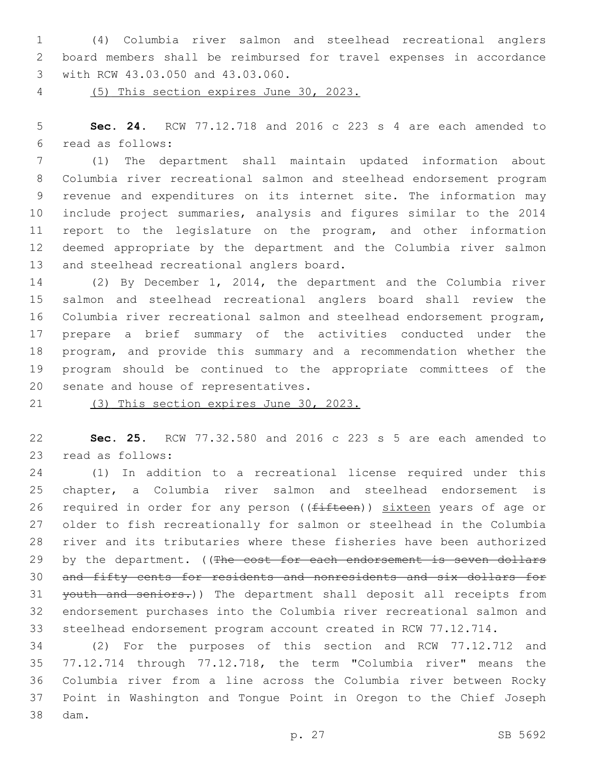(4) Columbia river salmon and steelhead recreational anglers board members shall be reimbursed for travel expenses in accordance with RCW 43.03.050 and 43.03.060.3

(5) This section expires June 30, 2023.

 **Sec. 24.** RCW 77.12.718 and 2016 c 223 s 4 are each amended to read as follows:6

 (1) The department shall maintain updated information about Columbia river recreational salmon and steelhead endorsement program revenue and expenditures on its internet site. The information may include project summaries, analysis and figures similar to the 2014 report to the legislature on the program, and other information deemed appropriate by the department and the Columbia river salmon 13 and steelhead recreational anglers board.

 (2) By December 1, 2014, the department and the Columbia river salmon and steelhead recreational anglers board shall review the Columbia river recreational salmon and steelhead endorsement program, prepare a brief summary of the activities conducted under the program, and provide this summary and a recommendation whether the program should be continued to the appropriate committees of the 20 senate and house of representatives.

(3) This section expires June 30, 2023.

 **Sec. 25.** RCW 77.32.580 and 2016 c 223 s 5 are each amended to 23 read as follows:

 (1) In addition to a recreational license required under this chapter, a Columbia river salmon and steelhead endorsement is 26 required in order for any person ((fifteen)) sixteen years of age or older to fish recreationally for salmon or steelhead in the Columbia river and its tributaries where these fisheries have been authorized 29 by the department. ((The cost for each endorsement is seven dollars and fifty cents for residents and nonresidents and six dollars for 31 youth and seniors.)) The department shall deposit all receipts from endorsement purchases into the Columbia river recreational salmon and steelhead endorsement program account created in RCW 77.12.714.

 (2) For the purposes of this section and RCW 77.12.712 and 77.12.714 through 77.12.718, the term "Columbia river" means the Columbia river from a line across the Columbia river between Rocky Point in Washington and Tongue Point in Oregon to the Chief Joseph dam.38